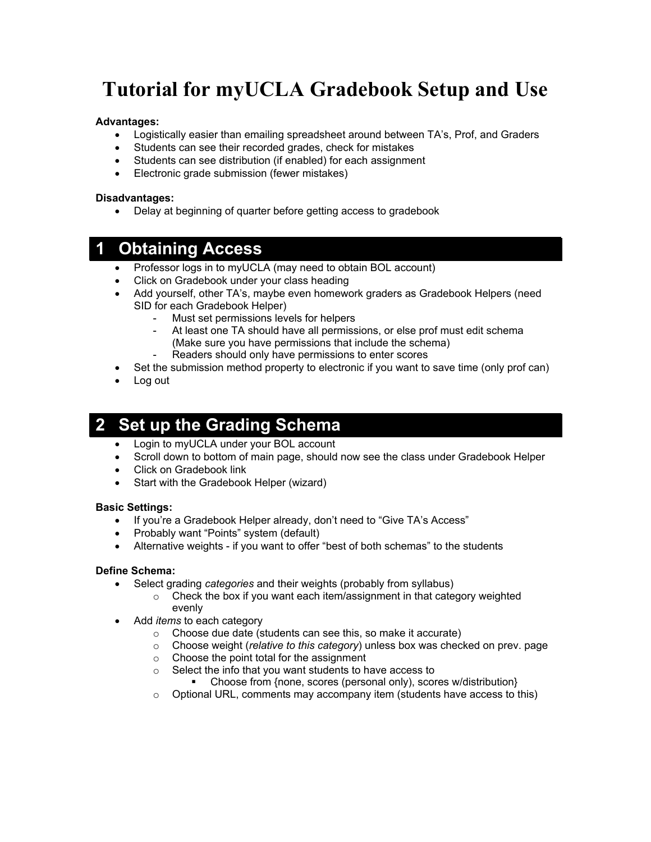# **Tutorial for myUCLA Gradebook Setup and Use**

### **Advantages:**

- Logistically easier than emailing spreadsheet around between TA's, Prof, and Graders
- Students can see their recorded grades, check for mistakes
- Students can see distribution (if enabled) for each assignment
- Electronic grade submission (fewer mistakes)

#### **Disadvantages:**

• Delay at beginning of quarter before getting access to gradebook

### **1 Obtaining Access**

- Professor logs in to myUCLA (may need to obtain BOL account)
- Click on Gradebook under your class heading
- Add yourself, other TA's, maybe even homework graders as Gradebook Helpers (need SID for each Gradebook Helper)
	- Must set permissions levels for helpers
	- At least one TA should have all permissions, or else prof must edit schema (Make sure you have permissions that include the schema)
	- Readers should only have permissions to enter scores
- Set the submission method property to electronic if you want to save time (only prof can)
- Log out

### **2 Set up the Grading Schema**

- Login to myUCLA under your BOL account
- Scroll down to bottom of main page, should now see the class under Gradebook Helper
- Click on Gradebook link
- Start with the Gradebook Helper (wizard)

### **Basic Settings:**

- If you're a Gradebook Helper already, don't need to "Give TA's Access"
- Probably want "Points" system (default)
- Alternative weights if you want to offer "best of both schemas" to the students

#### **Define Schema:**

- Select grading *categories* and their weights (probably from syllabus)
	- o Check the box if you want each item/assignment in that category weighted evenly
- Add *items* to each category
	- o Choose due date (students can see this, so make it accurate)
	- o Choose weight (*relative to this category*) unless box was checked on prev. page
	- o Choose the point total for the assignment
	- o Select the info that you want students to have access to
		- Choose from {none, scores (personal only), scores w/distribution}
	- o Optional URL, comments may accompany item (students have access to this)